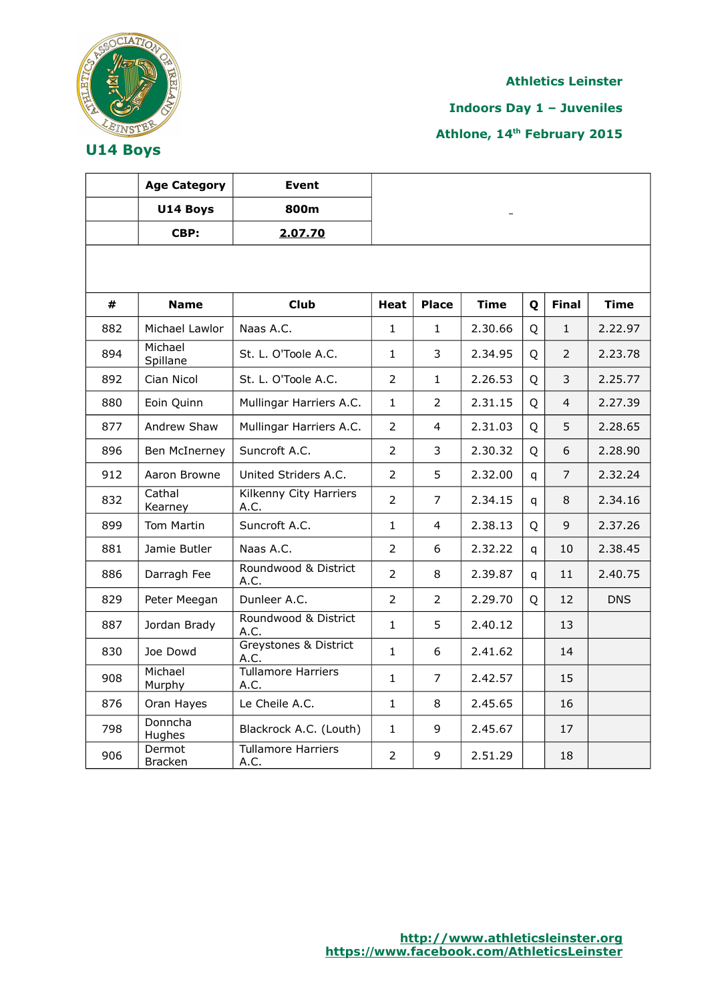

**Indoors Day 1 – Juveniles**

|     | <b>Age Category</b>      | <b>Event</b>                          |                |                |             |   |                |             |
|-----|--------------------------|---------------------------------------|----------------|----------------|-------------|---|----------------|-------------|
|     | U14 Boys                 | 800m                                  |                |                |             |   |                |             |
|     | CBP:                     | 2.07.70                               |                |                |             |   |                |             |
|     |                          |                                       |                |                |             |   |                |             |
| #   | <b>Name</b>              | <b>Club</b>                           | Heat           | <b>Place</b>   | <b>Time</b> | Q | <b>Final</b>   | <b>Time</b> |
| 882 | Michael Lawlor           | Naas A.C.                             | $\mathbf{1}$   | $\mathbf{1}$   | 2.30.66     | Q | $\mathbf{1}$   | 2.22.97     |
| 894 | Michael<br>Spillane      | St. L. O'Toole A.C.                   | $\mathbf{1}$   | 3              | 2.34.95     | Q | $\overline{2}$ | 2.23.78     |
| 892 | Cian Nicol               | St. L. O'Toole A.C.                   | 2              | $\mathbf{1}$   | 2.26.53     | Q | 3              | 2.25.77     |
| 880 | Eoin Quinn               | Mullingar Harriers A.C.               | $\mathbf{1}$   | 2              | 2.31.15     | Q | $\overline{4}$ | 2.27.39     |
| 877 | Andrew Shaw              | Mullingar Harriers A.C.               | $\overline{2}$ | 4              | 2.31.03     | Q | 5              | 2.28.65     |
| 896 | Ben McInerney            | Suncroft A.C.                         | $\overline{2}$ | 3              | 2.30.32     | Q | 6              | 2.28.90     |
| 912 | Aaron Browne             | United Striders A.C.                  | $\overline{2}$ | 5              | 2.32.00     | q | $\overline{7}$ | 2.32.24     |
| 832 | Cathal<br>Kearney        | <b>Kilkenny City Harriers</b><br>A.C. | $\overline{2}$ | 7              | 2.34.15     | q | 8              | 2.34.16     |
| 899 | Tom Martin               | Suncroft A.C.                         | 1              | 4              | 2.38.13     | Q | 9              | 2.37.26     |
| 881 | Jamie Butler             | Naas A.C.                             | $\overline{2}$ | 6              | 2.32.22     | q | 10             | 2.38.45     |
| 886 | Darragh Fee              | Roundwood & District<br>A.C.          | $\overline{2}$ | 8              | 2.39.87     | q | 11             | 2.40.75     |
| 829 | Peter Meegan             | Dunleer A.C.                          | $\overline{2}$ | $\overline{2}$ | 2.29.70     | Q | 12             | <b>DNS</b>  |
| 887 | Jordan Brady             | Roundwood & District<br>A.C.          | $\mathbf{1}$   | 5              | 2.40.12     |   | 13             |             |
| 830 | Joe Dowd                 | Greystones & District<br>A.C.         | $\mathbf{1}$   | 6              | 2.41.62     |   | 14             |             |
| 908 | Michael<br>Murphy        | Tullamore Harriers<br>A.C.            | $\mathbf{1}$   | $\overline{7}$ | 2.42.57     |   | 15             |             |
| 876 | Oran Hayes               | Le Cheile A.C.                        | $\mathbf{1}$   | 8              | 2.45.65     |   | 16             |             |
| 798 | Donncha<br>Hughes        | Blackrock A.C. (Louth)                | $\mathbf{1}$   | 9              | 2.45.67     |   | 17             |             |
| 906 | Dermot<br><b>Bracken</b> | <b>Tullamore Harriers</b><br>A.C.     | $\overline{2}$ | 9              | 2.51.29     |   | 18             |             |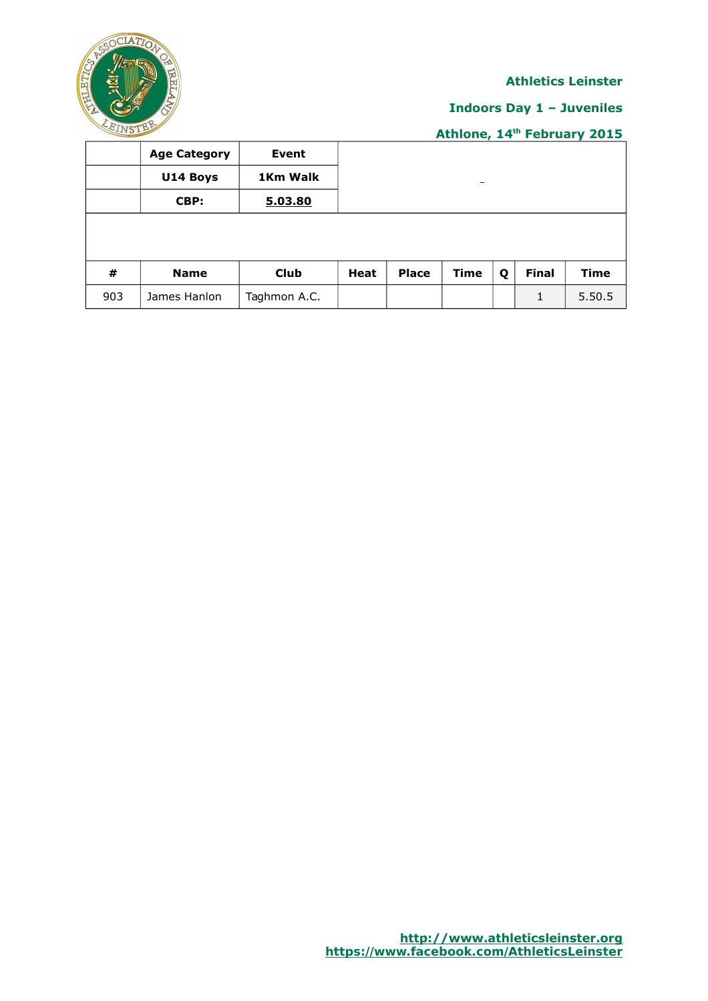

# **Indoors Day 1 – Juveniles**

|     | <b>Age Category</b> | Event        |      |              |                              |   |              |        |
|-----|---------------------|--------------|------|--------------|------------------------------|---|--------------|--------|
|     | U14 Boys            | 1Km Walk     |      |              | $\qquad \qquad \blacksquare$ |   |              |        |
|     | CBP:                | 5.03.80      |      |              |                              |   |              |        |
|     |                     |              |      |              |                              |   |              |        |
|     |                     |              |      |              |                              |   |              |        |
| #   | <b>Name</b>         | Club         | Heat | <b>Place</b> | Time                         | Q | <b>Final</b> | Time   |
| 903 | James Hanlon        | Taghmon A.C. |      |              |                              |   | 1            | 5.50.5 |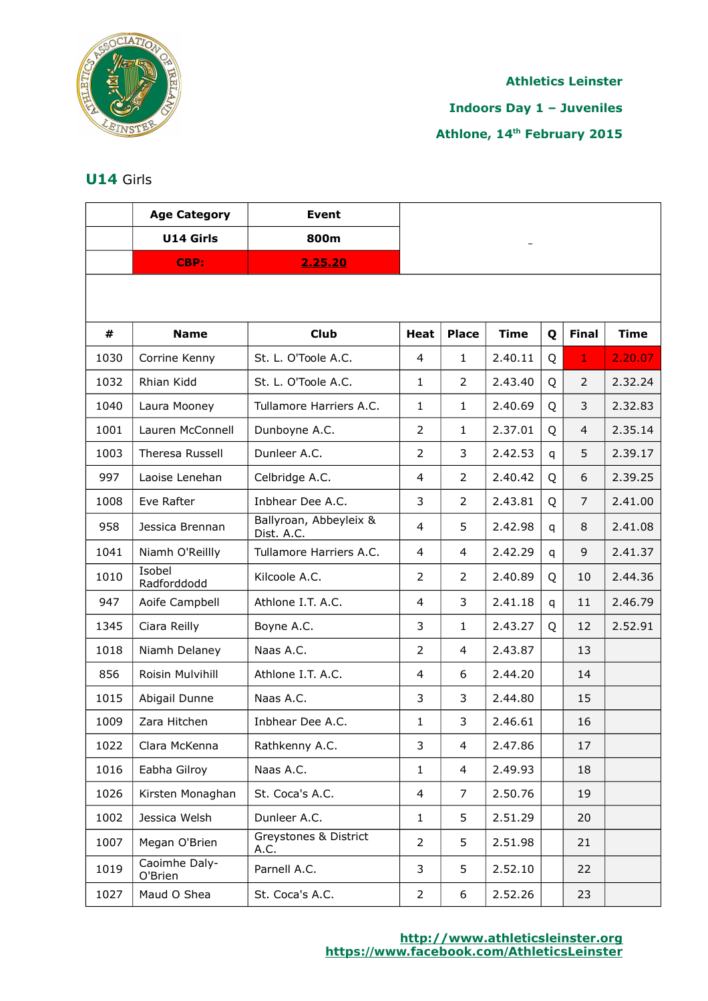

# **Indoors Day 1 – Juveniles**

# **Athlone, 14th February 2015**

# **U14** Girls

|      | <b>Age Category</b>      | <b>Event</b>                         |                |                |             |   |                |             |
|------|--------------------------|--------------------------------------|----------------|----------------|-------------|---|----------------|-------------|
|      | U14 Girls                | 800m                                 |                |                |             |   |                |             |
|      | <b>CBP:</b>              | 2.25.20                              |                |                |             |   |                |             |
|      |                          |                                      |                |                |             |   |                |             |
| #    | <b>Name</b>              | <b>Club</b>                          | <b>Heat</b>    | <b>Place</b>   | <b>Time</b> | Q | <b>Final</b>   | <b>Time</b> |
| 1030 | Corrine Kenny            | St. L. O'Toole A.C.                  | 4              | $\mathbf{1}$   | 2.40.11     | Q | $\mathbf{1}$   | 2.20.07     |
| 1032 | Rhian Kidd               | St. L. O'Toole A.C.                  | $\mathbf{1}$   | $\overline{2}$ | 2.43.40     | Q | 2              | 2.32.24     |
| 1040 | Laura Mooney             | Tullamore Harriers A.C.              | $\mathbf{1}$   | $\mathbf{1}$   | 2.40.69     | Q | 3              | 2.32.83     |
| 1001 | Lauren McConnell         | Dunboyne A.C.                        | $\overline{2}$ | $\mathbf{1}$   | 2.37.01     | Q | 4              | 2.35.14     |
| 1003 | Theresa Russell          | Dunleer A.C.                         | $\overline{2}$ | 3              | 2.42.53     | q | 5              | 2.39.17     |
| 997  | Laoise Lenehan           | Celbridge A.C.                       | 4              | $\overline{2}$ | 2.40.42     | Q | 6              | 2.39.25     |
| 1008 | Eve Rafter               | Inbhear Dee A.C.                     | 3              | $\overline{2}$ | 2.43.81     | Q | $\overline{7}$ | 2.41.00     |
| 958  | Jessica Brennan          | Ballyroan, Abbeyleix &<br>Dist. A.C. | 4              | 5              | 2.42.98     | q | 8              | 2.41.08     |
| 1041 | Niamh O'Reillly          | Tullamore Harriers A.C.              | 4              | $\overline{4}$ | 2.42.29     | q | 9              | 2.41.37     |
| 1010 | Isobel<br>Radforddodd    | Kilcoole A.C.                        | 2              | $\overline{2}$ | 2.40.89     | Q | 10             | 2.44.36     |
| 947  | Aoife Campbell           | Athlone I.T. A.C.                    | 4              | 3              | 2.41.18     | q | 11             | 2.46.79     |
| 1345 | Ciara Reilly             | Boyne A.C.                           | 3              | $\mathbf{1}$   | 2.43.27     | Q | 12             | 2.52.91     |
| 1018 | Niamh Delaney            | Naas A.C.                            | 2              | $\overline{4}$ | 2.43.87     |   | 13             |             |
| 856  | Roisin Mulvihill         | Athlone I.T. A.C.                    | 4              | 6              | 2.44.20     |   | 14             |             |
| 1015 | Abigail Dunne            | Naas A.C.                            | 3              | 3              | 2.44.80     |   | 15             |             |
| 1009 | Zara Hitchen             | Inbhear Dee A.C.                     | $\mathbf{1}$   | 3              | 2.46.61     |   | 16             |             |
| 1022 | Clara McKenna            | Rathkenny A.C.                       | 3              | 4              | 2.47.86     |   | 17             |             |
| 1016 | Eabha Gilroy             | Naas A.C.                            | $\mathbf{1}$   | $\overline{4}$ | 2.49.93     |   | 18             |             |
| 1026 | Kirsten Monaghan         | St. Coca's A.C.                      | 4              | 7              | 2.50.76     |   | 19             |             |
| 1002 | Jessica Welsh            | Dunleer A.C.                         | $\mathbf{1}$   | 5              | 2.51.29     |   | 20             |             |
| 1007 | Megan O'Brien            | Greystones & District<br>A.C.        | $\overline{2}$ | 5              | 2.51.98     |   | 21             |             |
| 1019 | Caoimhe Daly-<br>O'Brien | Parnell A.C.                         | 3              | 5              | 2.52.10     |   | 22             |             |
| 1027 | Maud O Shea              | St. Coca's A.C.                      | $\overline{2}$ | 6              | 2.52.26     |   | 23             |             |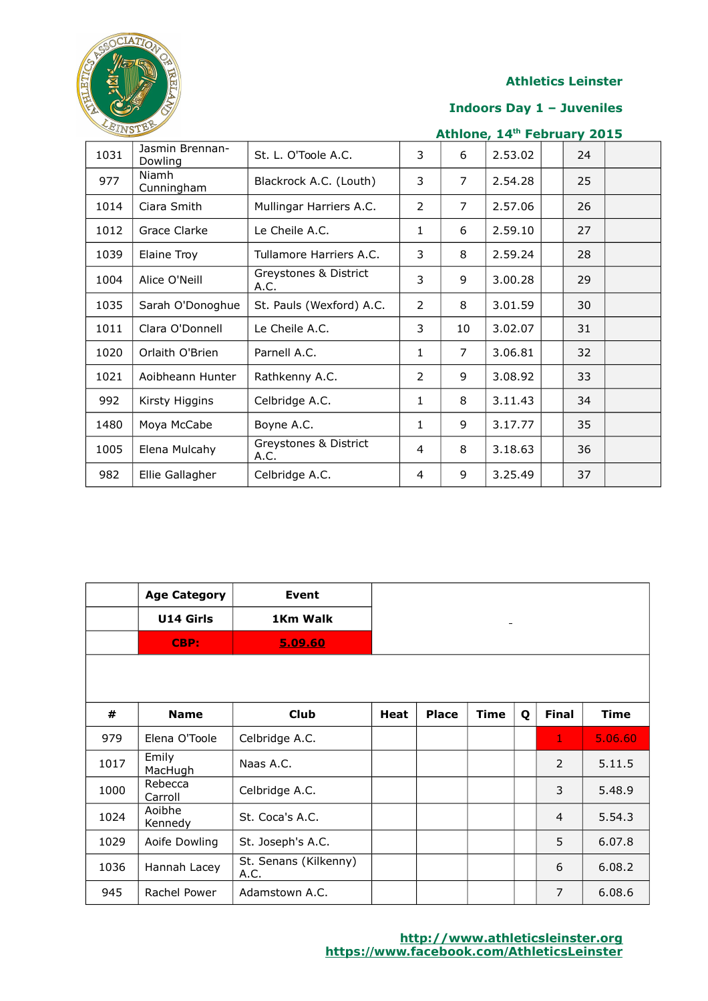

#### **Indoors Day 1 – Juveniles**

| EINSTER |                            |                               |                |                | Athlone, 14th February 2015 |    |  |
|---------|----------------------------|-------------------------------|----------------|----------------|-----------------------------|----|--|
| 1031    | Jasmin Brennan-<br>Dowling | St. L. O'Toole A.C.           | 3              | 6              | 2.53.02                     | 24 |  |
| 977     | Niamh<br>Cunningham        | Blackrock A.C. (Louth)        | 3              | $\overline{7}$ | 2.54.28                     | 25 |  |
| 1014    | Ciara Smith                | Mullingar Harriers A.C.       | $\overline{2}$ | $\overline{7}$ | 2.57.06                     | 26 |  |
| 1012    | Grace Clarke               | Le Cheile A.C.                | 1              | 6              | 2.59.10                     | 27 |  |
| 1039    | Elaine Troy                | Tullamore Harriers A.C.       | 3              | 8              | 2.59.24                     | 28 |  |
| 1004    | Alice O'Neill              | Greystones & District<br>A.C. | 3              | 9              | 3.00.28                     | 29 |  |
| 1035    | Sarah O'Donoghue           | St. Pauls (Wexford) A.C.      | $\overline{2}$ | 8              | 3.01.59                     | 30 |  |
| 1011    | Clara O'Donnell            | Le Cheile A.C.                | 3              | 10             | 3.02.07                     | 31 |  |
| 1020    | Orlaith O'Brien            | Parnell A.C.                  | $\mathbf{1}$   | $\overline{7}$ | 3.06.81                     | 32 |  |
| 1021    | Aoibheann Hunter           | Rathkenny A.C.                | 2              | 9              | 3.08.92                     | 33 |  |
| 992     | Kirsty Higgins             | Celbridge A.C.                | $\mathbf{1}$   | 8              | 3.11.43                     | 34 |  |
| 1480    | Moya McCabe                | Boyne A.C.                    | 1              | 9              | 3.17.77                     | 35 |  |
| 1005    | Elena Mulcahy              | Greystones & District<br>A.C. | 4              | 8              | 3.18.63                     | 36 |  |
| 982     | Ellie Gallagher            | Celbridge A.C.                | 4              | 9              | 3.25.49                     | 37 |  |

|      | <b>Age Category</b><br>U14 Girls<br>CBP: | Event<br>1Km Walk<br>5.09.60  |             |              |             |   |                |             |
|------|------------------------------------------|-------------------------------|-------------|--------------|-------------|---|----------------|-------------|
|      |                                          |                               |             |              |             |   |                |             |
|      |                                          |                               |             |              |             |   |                |             |
| #    | <b>Name</b>                              | <b>Club</b>                   | <b>Heat</b> | <b>Place</b> | <b>Time</b> | Q | <b>Final</b>   | <b>Time</b> |
| 979  | Elena O'Toole                            | Celbridge A.C.                |             |              |             |   | 1              | 5.06.60     |
| 1017 | Emily<br>MacHugh                         | Naas A.C.                     |             |              |             |   | 2              | 5.11.5      |
| 1000 | Rebecca<br>Carroll                       | Celbridge A.C.                |             |              |             |   | 3              | 5.48.9      |
| 1024 | Aoibhe<br>Kennedy                        | St. Coca's A.C.               |             |              |             |   | $\overline{4}$ | 5.54.3      |
| 1029 | Aoife Dowling                            | St. Joseph's A.C.             |             |              |             |   | 5              | 6.07.8      |
| 1036 | Hannah Lacey                             | St. Senans (Kilkenny)<br>A.C. |             |              |             |   | 6              | 6.08.2      |
| 945  | Rachel Power                             | Adamstown A.C.                |             |              |             |   | 7              | 6.08.6      |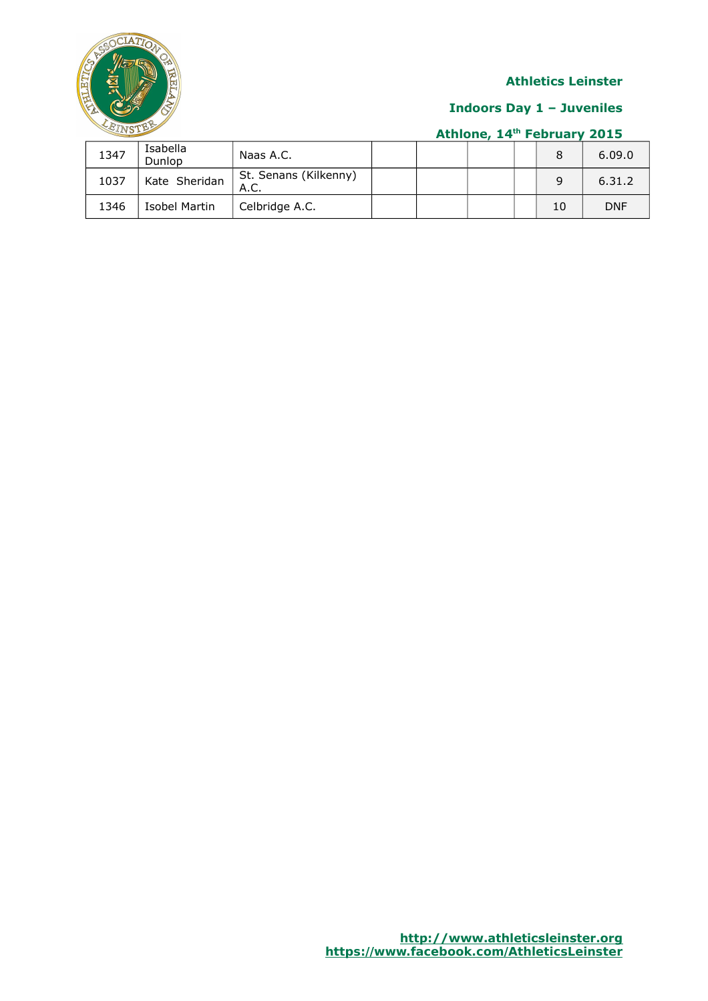

### **Indoors Day 1 – Juveniles**

| 1347 | Isabella<br>Dunlop | Naas A.C.                     |  |  |    | 6.09.0     |
|------|--------------------|-------------------------------|--|--|----|------------|
| 1037 | Kate Sheridan      | St. Senans (Kilkenny)<br>A.C. |  |  | q  | 6.31.2     |
| 1346 | Isobel Martin      | Celbridge A.C.                |  |  | 10 | <b>DNF</b> |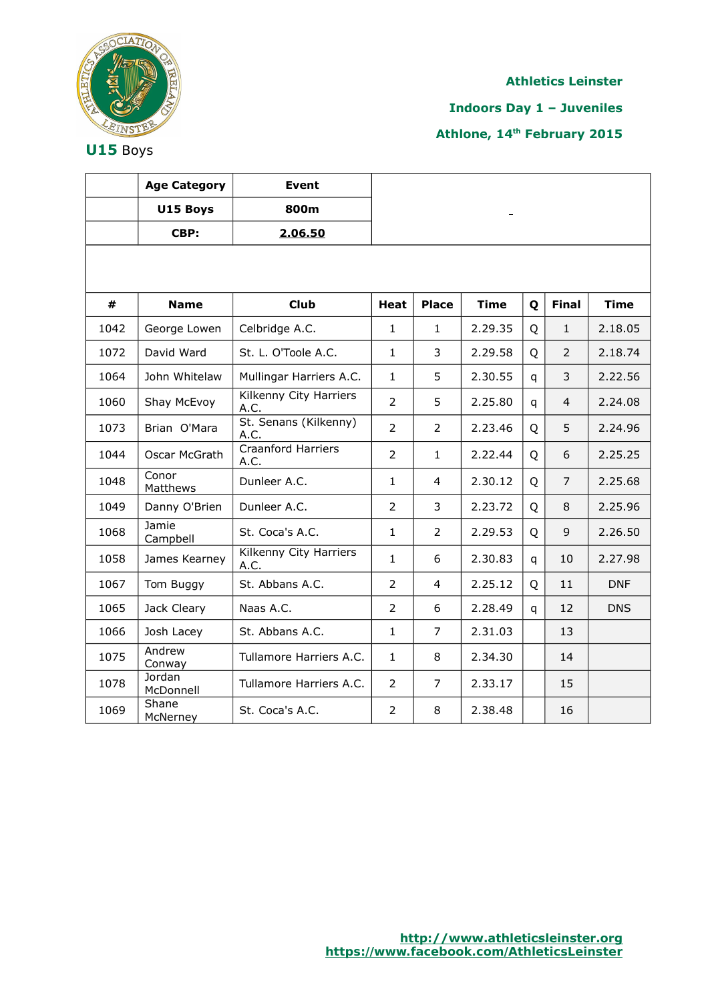

**Indoors Day 1 – Juveniles**

**Athlone, 14th February 2015**

**U15** Boys

|      | <b>Age Category</b> | <b>Event</b>                      |                |                |             |                |                |             |
|------|---------------------|-----------------------------------|----------------|----------------|-------------|----------------|----------------|-------------|
|      | U15 Boys            | 800m                              |                |                |             |                |                |             |
|      | CBP:                | 2.06.50                           |                |                |             |                |                |             |
|      |                     |                                   |                |                |             |                |                |             |
|      |                     |                                   |                |                |             |                |                |             |
| #    | <b>Name</b>         | <b>Club</b>                       | <b>Heat</b>    | <b>Place</b>   | <b>Time</b> | Q              | <b>Final</b>   | <b>Time</b> |
| 1042 | George Lowen        | Celbridge A.C.                    | $\mathbf{1}$   | $\mathbf{1}$   | 2.29.35     | Q              | $\mathbf{1}$   | 2.18.05     |
| 1072 | David Ward          | St. L. O'Toole A.C.               | $\mathbf{1}$   | 3              | 2.29.58     | Q              | 2              | 2.18.74     |
| 1064 | John Whitelaw       | Mullingar Harriers A.C.           | $\mathbf{1}$   | 5              | 2.30.55     | $\overline{q}$ | 3              | 2.22.56     |
| 1060 | Shay McEvoy         | Kilkenny City Harriers<br>A.C.    | 2              | 5              | 2.25.80     | q              | $\overline{4}$ | 2.24.08     |
| 1073 | Brian O'Mara        | St. Senans (Kilkenny)<br>A.C.     | $\overline{2}$ | $\overline{2}$ | 2.23.46     | Q              | 5              | 2.24.96     |
| 1044 | Oscar McGrath       | <b>Craanford Harriers</b><br>A.C. | $\overline{2}$ | $\mathbf{1}$   | 2.22.44     | $\overline{Q}$ | 6              | 2.25.25     |
| 1048 | Conor<br>Matthews   | Dunleer A.C.                      | $\mathbf{1}$   | 4              | 2.30.12     | Q              | $\overline{7}$ | 2.25.68     |
| 1049 | Danny O'Brien       | Dunleer A.C.                      | $\overline{2}$ | 3              | 2.23.72     | Q              | 8              | 2.25.96     |
| 1068 | Jamie<br>Campbell   | St. Coca's A.C.                   | 1              | 2              | 2.29.53     | Q              | 9              | 2.26.50     |
| 1058 | James Kearney       | Kilkenny City Harriers<br>A.C.    | $\mathbf{1}$   | 6              | 2.30.83     | q              | 10             | 2.27.98     |
| 1067 | Tom Buggy           | St. Abbans A.C.                   | $\overline{2}$ | $\overline{4}$ | 2.25.12     | Q              | 11             | <b>DNF</b>  |
| 1065 | Jack Cleary         | Naas A.C.                         | $\overline{2}$ | 6              | 2.28.49     | q              | 12             | <b>DNS</b>  |
| 1066 | Josh Lacey          | St. Abbans A.C.                   | $\mathbf{1}$   | 7              | 2.31.03     |                | 13             |             |
| 1075 | Andrew<br>Conway    | Tullamore Harriers A.C.           | $\mathbf{1}$   | 8              | 2.34.30     |                | 14             |             |
| 1078 | Jordan<br>McDonnell | Tullamore Harriers A.C.           | $\overline{2}$ | 7              | 2.33.17     |                | 15             |             |
| 1069 | Shane<br>McNerney   | St. Coca's A.C.                   | 2              | 8              | 2.38.48     |                | 16             |             |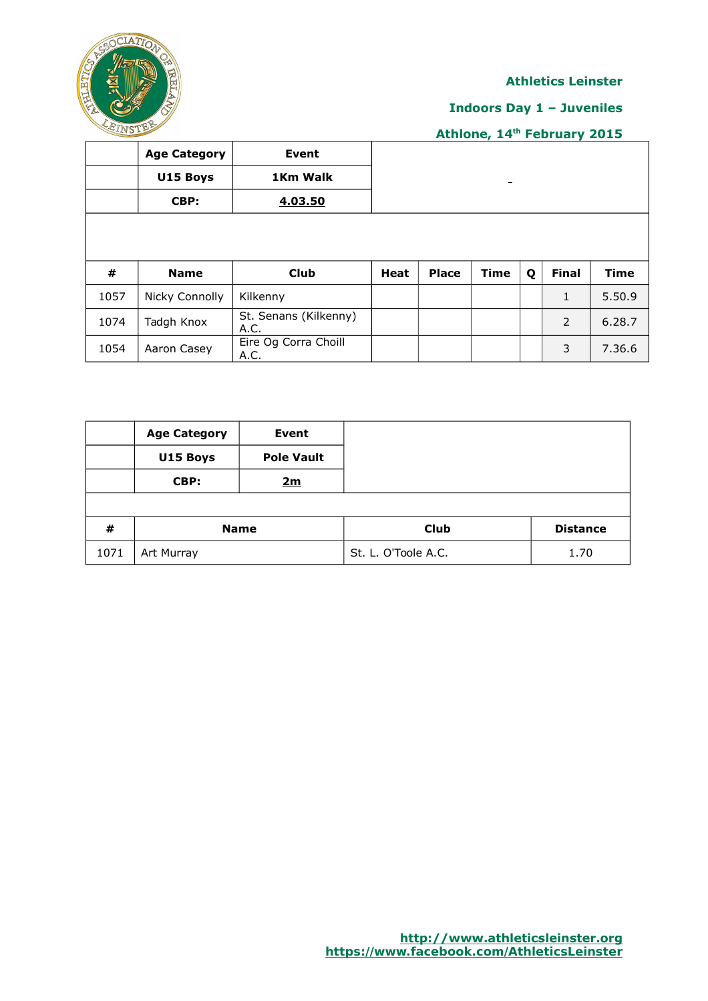

# **Indoors Day 1 – Juveniles**

|      | <b>Age Category</b> | Event                         |             |              |                          |   |              |             |
|------|---------------------|-------------------------------|-------------|--------------|--------------------------|---|--------------|-------------|
|      | U15 Boys            | 1Km Walk                      |             |              | $\overline{\phantom{0}}$ |   |              |             |
|      | CBP:                | 4.03.50                       |             |              |                          |   |              |             |
|      |                     |                               |             |              |                          |   |              |             |
|      |                     |                               |             |              |                          |   |              |             |
| #    | <b>Name</b>         | <b>Club</b>                   | <b>Heat</b> | <b>Place</b> | <b>Time</b>              | Q | <b>Final</b> | <b>Time</b> |
| 1057 |                     |                               |             |              |                          |   |              |             |
|      | Nicky Connolly      | Kilkenny                      |             |              |                          |   | $\mathbf{1}$ | 5.50.9      |
| 1074 | Tadgh Knox          | St. Senans (Kilkenny)<br>A.C. |             |              |                          |   | 2            | 6.28.7      |

|      | <b>Age Category</b> | <b>Event</b>      |                     |                 |
|------|---------------------|-------------------|---------------------|-----------------|
|      | U15 Boys            | <b>Pole Vault</b> |                     |                 |
|      | CBP:                | 2m                |                     |                 |
|      |                     |                   |                     |                 |
| #    |                     | <b>Name</b>       | Club                | <b>Distance</b> |
| 1071 | Art Murray          |                   | St. L. O'Toole A.C. | 1.70            |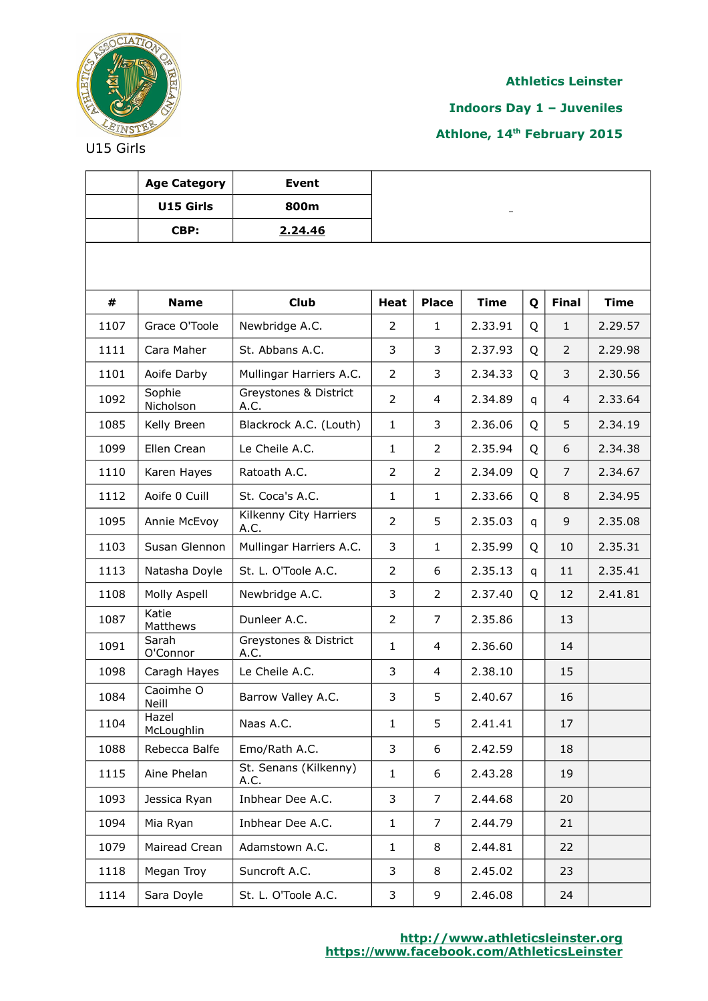

**Indoors Day 1 – Juveniles**

**Athlone, 14th February 2015**

|      | <b>Age Category</b> | <b>Event</b>                   |                |                |             |   |                |             |
|------|---------------------|--------------------------------|----------------|----------------|-------------|---|----------------|-------------|
|      | U15 Girls           | 800m                           |                |                |             |   |                |             |
|      | CBP:                | 2.24.46                        |                |                |             |   |                |             |
|      |                     |                                |                |                |             |   |                |             |
| #    | <b>Name</b>         | <b>Club</b>                    | <b>Heat</b>    | <b>Place</b>   | <b>Time</b> | Q | <b>Final</b>   | <b>Time</b> |
| 1107 | Grace O'Toole       | Newbridge A.C.                 | 2              | $\mathbf{1}$   | 2.33.91     | Q | $\mathbf{1}$   | 2.29.57     |
| 1111 | Cara Maher          | St. Abbans A.C.                | 3              | 3              | 2.37.93     | Q | $\overline{2}$ | 2.29.98     |
| 1101 | Aoife Darby         | Mullingar Harriers A.C.        | $\overline{2}$ | 3              | 2.34.33     | Q | 3              | 2.30.56     |
| 1092 | Sophie<br>Nicholson | Greystones & District<br>A.C.  | $\overline{2}$ | 4              | 2.34.89     | q | 4              | 2.33.64     |
| 1085 | Kelly Breen         | Blackrock A.C. (Louth)         | $\mathbf{1}$   | 3              | 2.36.06     | Q | 5              | 2.34.19     |
| 1099 | Ellen Crean         | Le Cheile A.C.                 | $\mathbf{1}$   | $\overline{2}$ | 2.35.94     | Q | 6              | 2.34.38     |
| 1110 | Karen Hayes         | Ratoath A.C.                   | $\overline{2}$ | $\overline{2}$ | 2.34.09     | Q | $\overline{7}$ | 2.34.67     |
| 1112 | Aoife 0 Cuill       | St. Coca's A.C.                | $\mathbf{1}$   | 1              | 2.33.66     | Q | 8              | 2.34.95     |
| 1095 | Annie McEvoy        | Kilkenny City Harriers<br>A.C. | $\overline{2}$ | 5              | 2.35.03     | q | 9              | 2.35.08     |
| 1103 | Susan Glennon       | Mullingar Harriers A.C.        | 3              | $\mathbf{1}$   | 2.35.99     | Q | 10             | 2.35.31     |
| 1113 | Natasha Doyle       | St. L. O'Toole A.C.            | $\overline{2}$ | 6              | 2.35.13     | q | 11             | 2.35.41     |
| 1108 | Molly Aspell        | Newbridge A.C.                 | 3              | $\overline{2}$ | 2.37.40     | Q | 12             | 2.41.81     |
| 1087 | Katie<br>Matthews   | Dunleer A.C.                   | $\overline{2}$ | 7              | 2.35.86     |   | 13             |             |
| 1091 | Sarah<br>O'Connor   | Greystones & District<br>A.C.  | $\mathbf{1}$   | 4              | 2.36.60     |   | 14             |             |
| 1098 | Caragh Hayes        | Le Cheile A.C.                 | 3              | 4              | 2.38.10     |   | 15             |             |
| 1084 | Caoimhe O<br>Neill  | Barrow Valley A.C.             | 3              | 5              | 2.40.67     |   | 16             |             |
| 1104 | Hazel<br>McLoughlin | Naas A.C.                      | $\mathbf{1}$   | 5              | 2.41.41     |   | 17             |             |
| 1088 | Rebecca Balfe       | Emo/Rath A.C.                  | 3              | 6              | 2.42.59     |   | 18             |             |
| 1115 | Aine Phelan         | St. Senans (Kilkenny)<br>A.C.  | $\mathbf{1}$   | 6              | 2.43.28     |   | 19             |             |
| 1093 | Jessica Ryan        | Inbhear Dee A.C.               | 3              | 7              | 2.44.68     |   | 20             |             |
| 1094 | Mia Ryan            | Inbhear Dee A.C.               | $\mathbf{1}$   | 7              | 2.44.79     |   | 21             |             |
| 1079 | Mairead Crean       | Adamstown A.C.                 | $\mathbf{1}$   | 8              | 2.44.81     |   | 22             |             |
| 1118 | Megan Troy          | Suncroft A.C.                  | 3              | 8              | 2.45.02     |   | 23             |             |
| 1114 | Sara Doyle          | St. L. O'Toole A.C.            | 3              | 9              | 2.46.08     |   | 24             |             |

U15 Girls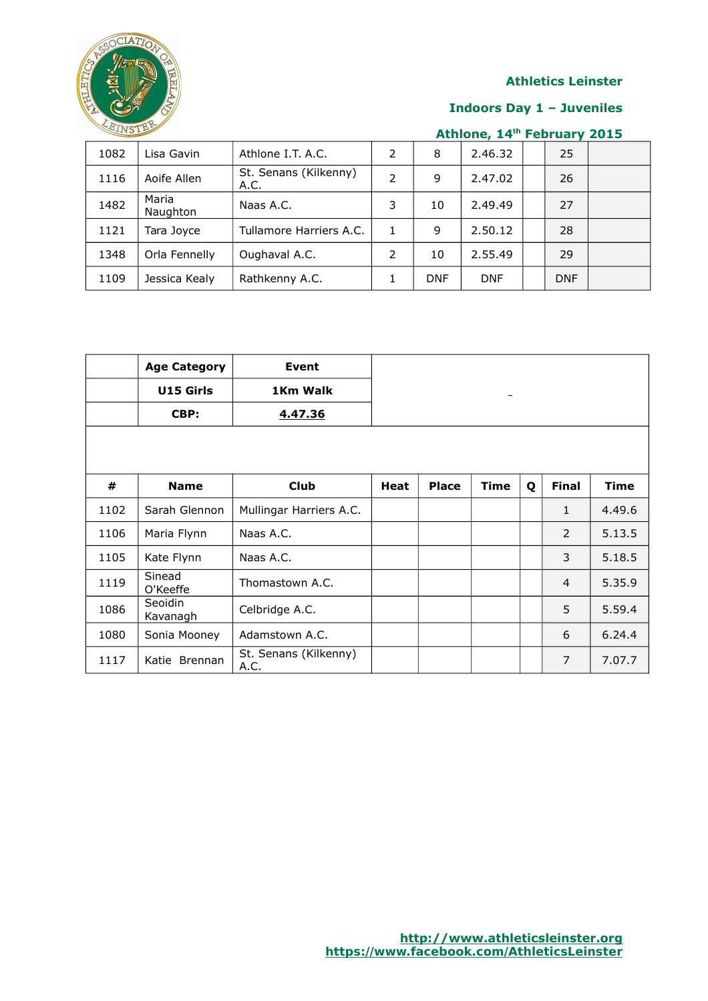

### **Indoors Day 1 – Juveniles**

| 1082 | Lisa Gavin        | Athlone I.T. A.C.             |   | 8          | 2.46.32    | 25         |  |
|------|-------------------|-------------------------------|---|------------|------------|------------|--|
| 1116 | Aoife Allen       | St. Senans (Kilkenny)<br>A.C. |   | 9          | 2.47.02    | 26         |  |
| 1482 | Maria<br>Naughton | Naas A.C.                     | 3 | 10         | 2.49.49    | 27         |  |
| 1121 | Tara Joyce        | Tullamore Harriers A.C.       |   | 9          | 2.50.12    | 28         |  |
| 1348 | Orla Fennelly     | Oughaval A.C.                 | 2 | 10         | 2.55.49    | 29         |  |
| 1109 | Jessica Kealy     | Rathkenny A.C.                |   | <b>DNF</b> | <b>DNF</b> | <b>DNF</b> |  |

|      | <b>Age Category</b> | <b>Event</b>                  |             |              |      |   |                |             |
|------|---------------------|-------------------------------|-------------|--------------|------|---|----------------|-------------|
|      | U15 Girls           | 1Km Walk                      |             |              |      |   |                |             |
|      | CBP:                | 4.47.36                       |             |              |      |   |                |             |
|      |                     |                               |             |              |      |   |                |             |
|      |                     |                               |             |              |      |   |                |             |
| #    | <b>Name</b>         | <b>Club</b>                   | <b>Heat</b> | <b>Place</b> | Time | Q | <b>Final</b>   | <b>Time</b> |
| 1102 | Sarah Glennon       | Mullingar Harriers A.C.       |             |              |      |   | $\mathbf{1}$   | 4.49.6      |
| 1106 | Maria Flynn         | Naas A.C.                     |             |              |      |   | 2              | 5.13.5      |
| 1105 | Kate Flynn          | Naas A.C.                     |             |              |      |   | 3              | 5.18.5      |
| 1119 | Sinead<br>O'Keeffe  | Thomastown A.C.               |             |              |      |   | $\overline{4}$ | 5.35.9      |
| 1086 | Seoidin<br>Kavanagh | Celbridge A.C.                |             |              |      |   | 5              | 5.59.4      |
| 1080 | Sonia Mooney        | Adamstown A.C.                |             |              |      |   | 6              | 6.24.4      |
| 1117 | Katie Brennan       | St. Senans (Kilkenny)<br>A.C. |             |              |      |   | $\overline{7}$ | 7.07.7      |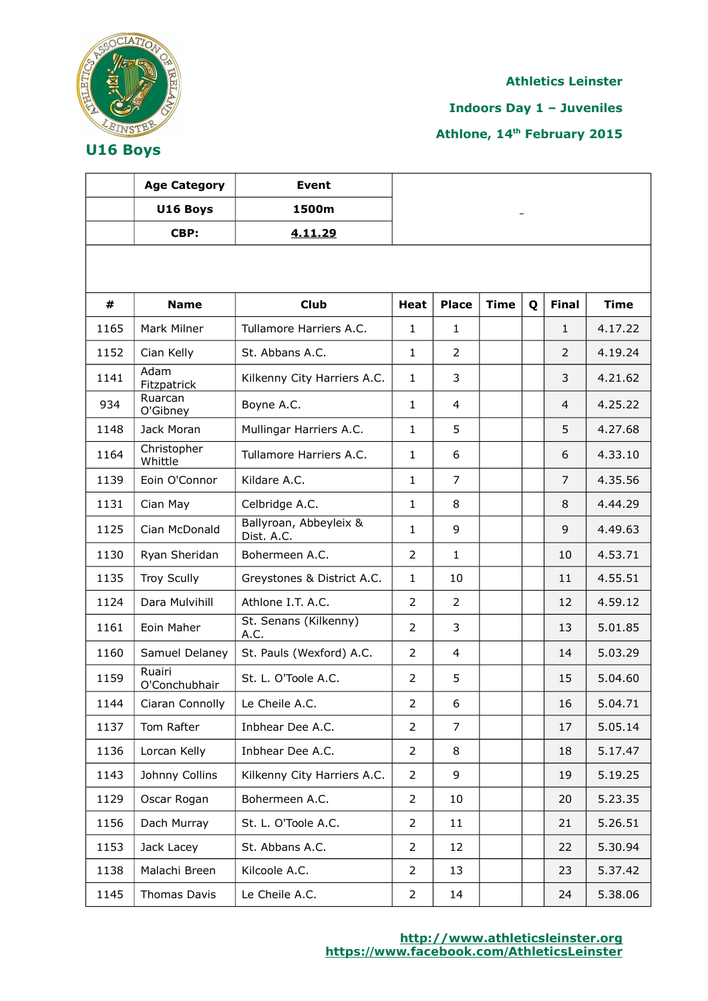

**Indoors Day 1 – Juveniles**

**Athlone, 14th February 2015**

|      | <b>Age Category</b>     | <b>Event</b>                         |                |                |             |   |                |             |
|------|-------------------------|--------------------------------------|----------------|----------------|-------------|---|----------------|-------------|
|      | U16 Boys                | 1500m                                |                |                |             |   |                |             |
|      | CBP:                    | 4.11.29                              |                |                |             |   |                |             |
|      |                         |                                      |                |                |             |   |                |             |
|      |                         |                                      |                |                |             |   |                |             |
| #    | <b>Name</b>             | <b>Club</b>                          | <b>Heat</b>    | <b>Place</b>   | <b>Time</b> | Q | <b>Final</b>   | <b>Time</b> |
| 1165 | Mark Milner             | Tullamore Harriers A.C.              | $\mathbf{1}$   | $\mathbf{1}$   |             |   | $\mathbf{1}$   | 4.17.22     |
| 1152 | Cian Kelly              | St. Abbans A.C.                      | $\mathbf{1}$   | 2              |             |   | $\overline{2}$ | 4.19.24     |
| 1141 | Adam<br>Fitzpatrick     | Kilkenny City Harriers A.C.          | $\mathbf{1}$   | 3              |             |   | 3              | 4.21.62     |
| 934  | Ruarcan<br>O'Gibney     | Boyne A.C.                           | $\mathbf{1}$   | $\overline{4}$ |             |   | $\overline{4}$ | 4.25.22     |
| 1148 | Jack Moran              | Mullingar Harriers A.C.              | $\mathbf{1}$   | 5              |             |   | 5              | 4.27.68     |
| 1164 | Christopher<br>Whittle  | Tullamore Harriers A.C.              | $\mathbf{1}$   | 6              |             |   | 6              | 4.33.10     |
| 1139 | Eoin O'Connor           | Kildare A.C.                         | $\mathbf{1}$   | 7              |             |   | $\overline{7}$ | 4.35.56     |
| 1131 | Cian May                | Celbridge A.C.                       | $\mathbf{1}$   | 8              |             |   | 8              | 4.44.29     |
| 1125 | Cian McDonald           | Ballyroan, Abbeyleix &<br>Dist. A.C. | $\mathbf{1}$   | 9              |             |   | 9              | 4.49.63     |
| 1130 | Ryan Sheridan           | Bohermeen A.C.                       | $\overline{2}$ | $\mathbf{1}$   |             |   | 10             | 4.53.71     |
| 1135 | <b>Troy Scully</b>      | Greystones & District A.C.           | $\mathbf{1}$   | 10             |             |   | 11             | 4.55.51     |
| 1124 | Dara Mulvihill          | Athlone I.T. A.C.                    | $\overline{2}$ | $\overline{2}$ |             |   | 12             | 4.59.12     |
| 1161 | Eoin Maher              | St. Senans (Kilkenny)<br>A.C.        | 2              | 3              |             |   | 13             | 5.01.85     |
| 1160 | Samuel Delaney          | St. Pauls (Wexford) A.C.             | $\overline{2}$ | $\overline{4}$ |             |   | 14             | 5.03.29     |
| 1159 | Ruairi<br>O'Conchubhair | St. L. O'Toole A.C.                  | $\overline{2}$ | 5              |             |   | 15             | 5.04.60     |
| 1144 | Ciaran Connolly         | Le Cheile A.C.                       | $\overline{2}$ | 6              |             |   | 16             | 5.04.71     |
| 1137 | Tom Rafter              | Inbhear Dee A.C.                     | $\overline{2}$ | $\overline{7}$ |             |   | 17             | 5.05.14     |
| 1136 | Lorcan Kelly            | Inbhear Dee A.C.                     | $\overline{2}$ | 8              |             |   | 18             | 5.17.47     |
| 1143 | Johnny Collins          | Kilkenny City Harriers A.C.          | $\overline{2}$ | 9              |             |   | 19             | 5.19.25     |
| 1129 | Oscar Rogan             | Bohermeen A.C.                       | $\overline{2}$ | 10             |             |   | 20             | 5.23.35     |
| 1156 | Dach Murray             | St. L. O'Toole A.C.                  | $\overline{2}$ | 11             |             |   | 21             | 5.26.51     |
| 1153 | Jack Lacey              | St. Abbans A.C.                      | $\overline{2}$ | 12             |             |   | 22             | 5.30.94     |
| 1138 | Malachi Breen           | Kilcoole A.C.                        | $\overline{2}$ | 13             |             |   | 23             | 5.37.42     |
| 1145 | Thomas Davis            | Le Cheile A.C.                       | $\overline{2}$ | 14             |             |   | 24             | 5.38.06     |

**U16 Boys**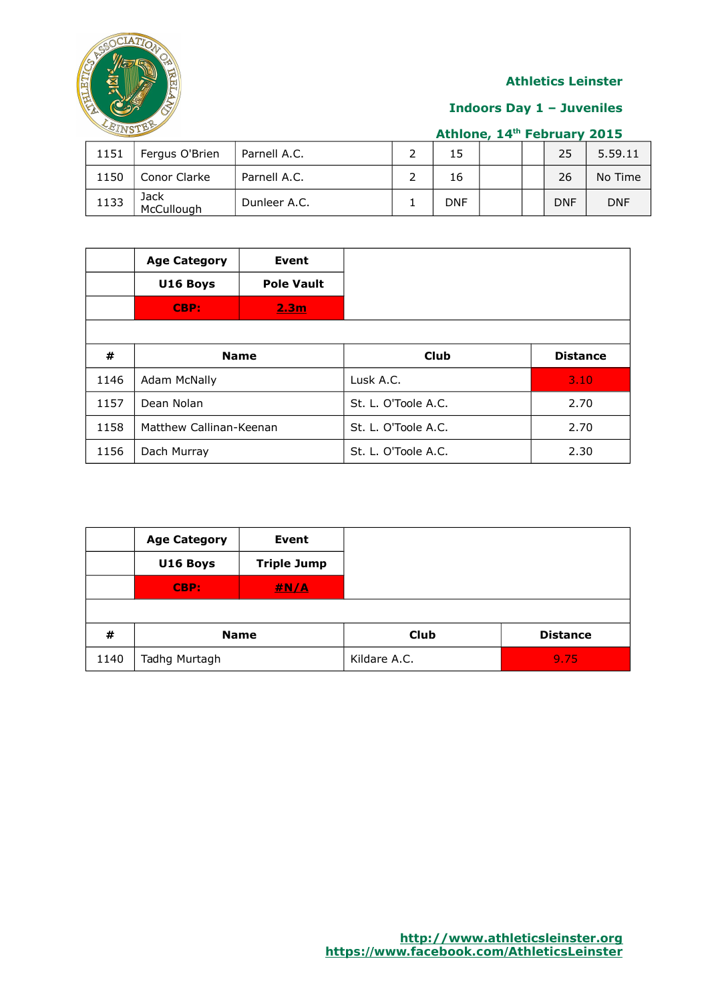

### **Indoors Day 1 – Juveniles**

|  | Athlone, 14th February 2015 |  |
|--|-----------------------------|--|
|  |                             |  |

| 1151 | Fergus O'Brien     | Parnell A.C. | 15  |  | 25         | 5.59.11    |
|------|--------------------|--------------|-----|--|------------|------------|
| 1150 | Conor Clarke       | Parnell A.C. | 16  |  | 26         | No Time    |
| 1133 | Jack<br>McCullough | Dunleer A.C. | DNF |  | <b>DNF</b> | <b>DNF</b> |

|      | <b>Age Category</b><br>U16 Boys<br>CBP: | Event<br><b>Pole Vault</b><br>2.3 <sub>m</sub> |                     |                 |                     |      |
|------|-----------------------------------------|------------------------------------------------|---------------------|-----------------|---------------------|------|
| #    | <b>Name</b>                             |                                                | Club                | <b>Distance</b> |                     |      |
| 1146 | Adam McNally                            |                                                | Lusk A.C.           | 3.10            |                     |      |
| 1157 | Dean Nolan                              |                                                | St. L. O'Toole A.C. | 2.70            |                     |      |
| 1158 | Matthew Callinan-Keenan                 |                                                |                     |                 | St. L. O'Toole A.C. | 2.70 |
| 1156 | Dach Murray                             |                                                | St. L. O'Toole A.C. | 2.30            |                     |      |

|      | <b>Age Category</b> | Event              |              |                 |
|------|---------------------|--------------------|--------------|-----------------|
|      | U16 Boys            | <b>Triple Jump</b> |              |                 |
|      | CBP:                | #N/A               |              |                 |
|      |                     |                    |              |                 |
| #    | <b>Name</b>         |                    | Club         | <b>Distance</b> |
| 1140 | Tadhg Murtagh       |                    | Kildare A.C. | 9.75            |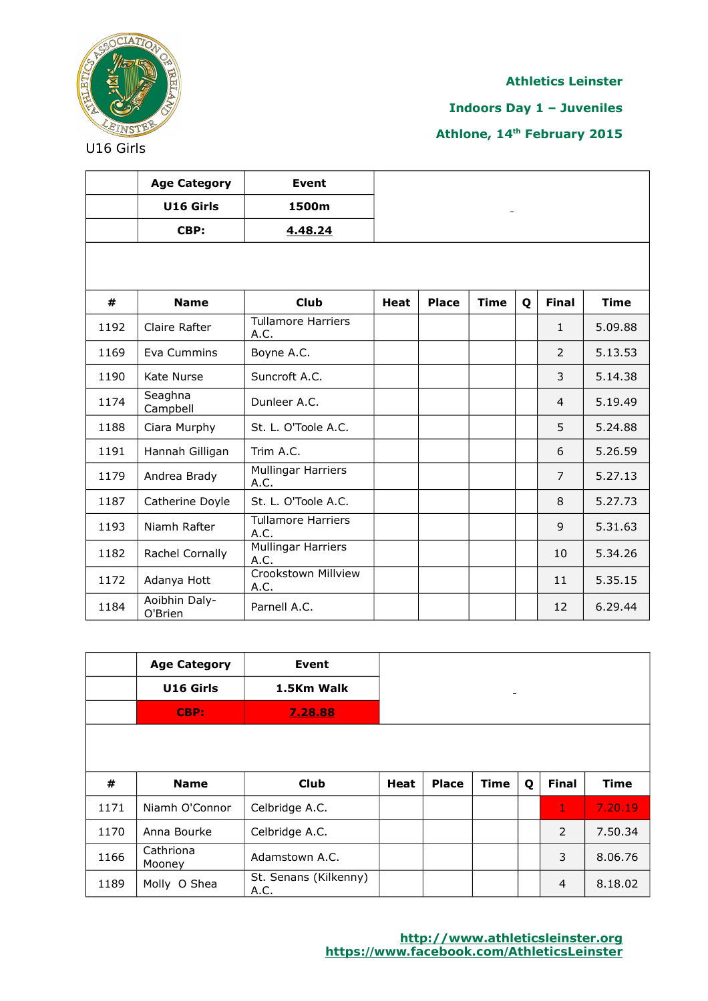

**Indoors Day 1 – Juveniles**

|      | <b>Age Category</b>      | <b>Event</b>                      |             |              |             |   |                |             |
|------|--------------------------|-----------------------------------|-------------|--------------|-------------|---|----------------|-------------|
|      | U16 Girls                | 1500m                             |             |              |             |   |                |             |
|      | CBP:                     | 4.48.24                           |             |              |             |   |                |             |
|      |                          |                                   |             |              |             |   |                |             |
| #    | <b>Name</b>              | <b>Club</b>                       | <b>Heat</b> | <b>Place</b> | <b>Time</b> | Q | <b>Final</b>   | <b>Time</b> |
| 1192 | Claire Rafter            | <b>Tullamore Harriers</b><br>A.C. |             |              |             |   | $\mathbf{1}$   | 5.09.88     |
| 1169 | Eva Cummins              | Boyne A.C.                        |             |              |             |   | 2              | 5.13.53     |
| 1190 | Kate Nurse               | Suncroft A.C.                     |             |              |             |   | 3              | 5.14.38     |
| 1174 | Seaghna<br>Campbell      | Dunleer A.C.                      |             |              |             |   | $\overline{4}$ | 5.19.49     |
| 1188 | Ciara Murphy             | St. L. O'Toole A.C.               |             |              |             |   | 5              | 5.24.88     |
| 1191 | Hannah Gilligan          | Trim A.C.                         |             |              |             |   | 6              | 5.26.59     |
| 1179 | Andrea Brady             | Mullingar Harriers<br>A.C.        |             |              |             |   | $\overline{7}$ | 5.27.13     |
| 1187 | Catherine Doyle          | St. L. O'Toole A.C.               |             |              |             |   | 8              | 5.27.73     |
| 1193 | Niamh Rafter             | <b>Tullamore Harriers</b><br>A.C. |             |              |             |   | 9              | 5.31.63     |
| 1182 | Rachel Cornally          | Mullingar Harriers<br>A.C.        |             |              |             |   | 10             | 5.34.26     |
| 1172 | Adanya Hott              | Crookstown Millview<br>A.C.       |             |              |             |   | 11             | 5.35.15     |
| 1184 | Aoibhin Daly-<br>O'Brien | Parnell A.C.                      |             |              |             |   | 12             | 6.29.44     |

|      | <b>Age Category</b> | <b>Event</b>                  |      |              |                 |   |                |             |
|------|---------------------|-------------------------------|------|--------------|-----------------|---|----------------|-------------|
|      | U16 Girls           | 1.5Km Walk                    |      |              | $\qquad \qquad$ |   |                |             |
|      | CBP:                | 7.28.88                       |      |              |                 |   |                |             |
|      |                     |                               |      |              |                 |   |                |             |
|      |                     |                               |      |              |                 |   |                |             |
| #    | <b>Name</b>         | <b>Club</b>                   | Heat | <b>Place</b> | Time            | Q | <b>Final</b>   | <b>Time</b> |
| 1171 | Niamh O'Connor      | Celbridge A.C.                |      |              |                 |   | 1              | 7.20.19     |
| 1170 | Anna Bourke         | Celbridge A.C.                |      |              |                 |   | 2              | 7.50.34     |
| 1166 | Cathriona<br>Mooney | Adamstown A.C.                |      |              |                 |   | 3              | 8.06.76     |
| 1189 | Molly O Shea        | St. Senans (Kilkenny)<br>A.C. |      |              |                 |   | $\overline{4}$ | 8.18.02     |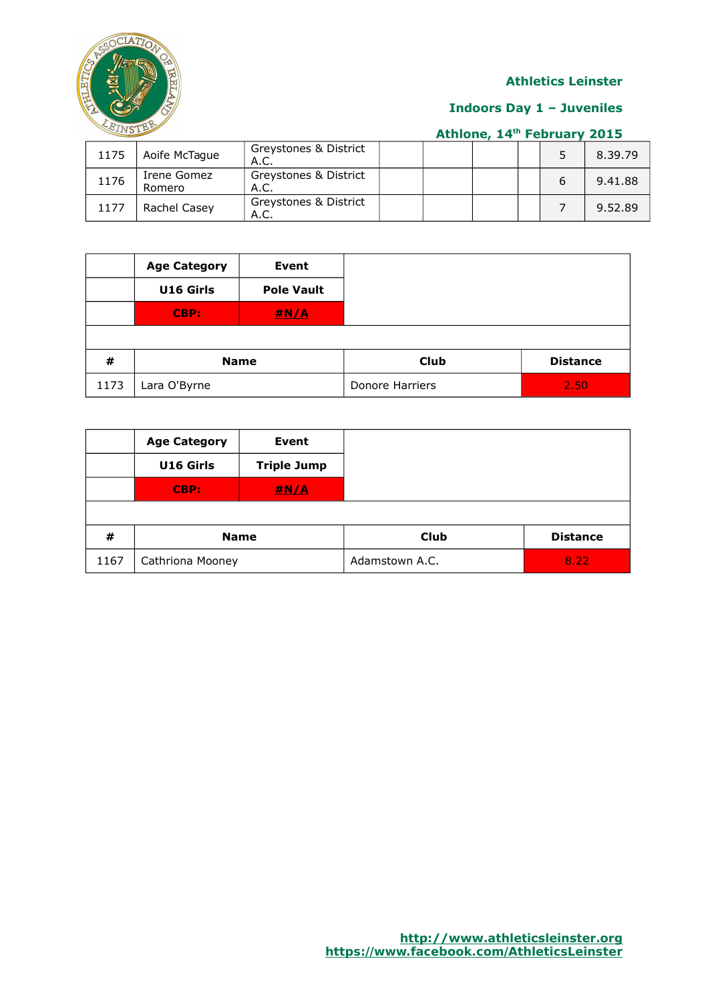

### **Indoors Day 1 – Juveniles**

|  |  | Athlone, 14th February 2015 |  |
|--|--|-----------------------------|--|
|  |  |                             |  |

| 1175 | Aoife McTague         | Greystones & District<br>A.C. |  |  | 8.39.79 |
|------|-----------------------|-------------------------------|--|--|---------|
| 1176 | Irene Gomez<br>Romero | Greystones & District<br>A.C. |  |  | 9.41.88 |
| 1177 | Rachel Casev          | Greystones & District<br>A.C. |  |  | 9.52.89 |

|      | <b>Age Category</b> | <b>Event</b>      |                 |                 |
|------|---------------------|-------------------|-----------------|-----------------|
|      | U16 Girls           | <b>Pole Vault</b> |                 |                 |
|      | CBP:                | H N/A             |                 |                 |
|      |                     |                   |                 |                 |
| #    | <b>Name</b>         |                   | Club            | <b>Distance</b> |
| 1173 | Lara O'Byrne        |                   | Donore Harriers | 2.50            |

|      | <b>Age Category</b> | Event              |                |                 |
|------|---------------------|--------------------|----------------|-----------------|
|      | U16 Girls           | <b>Triple Jump</b> |                |                 |
|      | CBP:                | #N/A               |                |                 |
|      |                     |                    |                |                 |
| #    | <b>Name</b>         |                    | <b>Club</b>    | <b>Distance</b> |
| 1167 | Cathriona Mooney    |                    | Adamstown A.C. | 8.22            |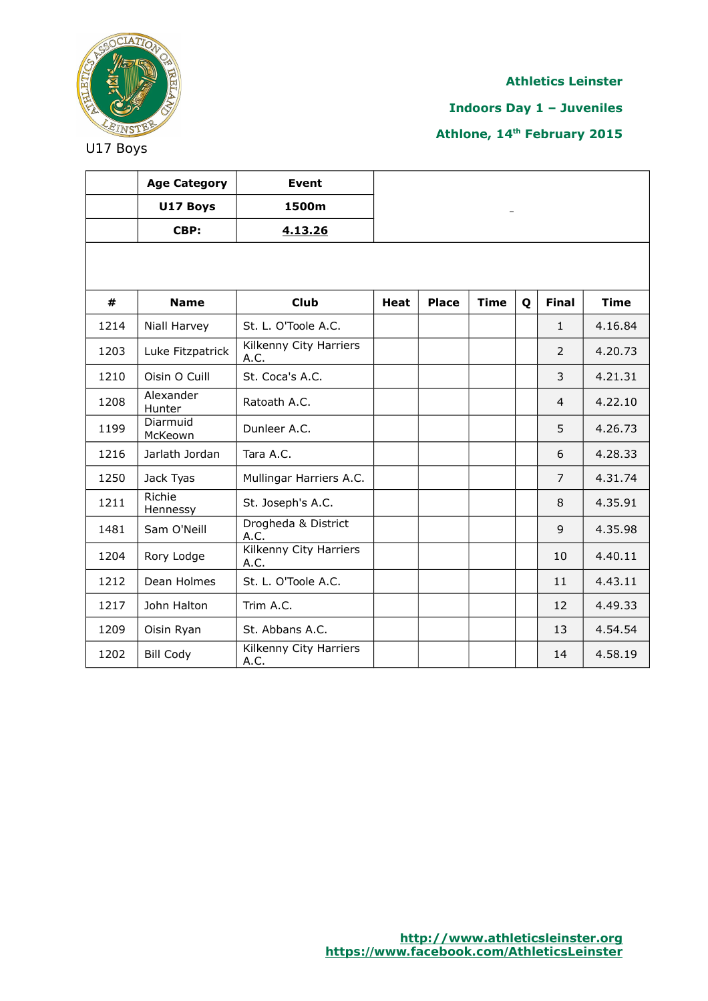

**Indoors Day 1 – Juveniles**

**Athlone, 14th February 2015**

|      | <b>Age Category</b> | Event                          |             |              |             |   |                |             |
|------|---------------------|--------------------------------|-------------|--------------|-------------|---|----------------|-------------|
|      | U17 Boys            | 1500m                          |             |              |             |   |                |             |
|      | CBP:                | 4.13.26                        |             |              |             |   |                |             |
|      |                     |                                |             |              |             |   |                |             |
|      |                     |                                |             |              |             |   |                |             |
| #    | <b>Name</b>         | <b>Club</b>                    | <b>Heat</b> | <b>Place</b> | <b>Time</b> | Q | <b>Final</b>   | <b>Time</b> |
| 1214 | Niall Harvey        | St. L. O'Toole A.C.            |             |              |             |   | $\mathbf{1}$   | 4.16.84     |
| 1203 | Luke Fitzpatrick    | Kilkenny City Harriers<br>A.C. |             |              |             |   | 2              | 4.20.73     |
| 1210 | Oisin O Cuill       | St. Coca's A.C.                |             |              |             |   | 3              | 4.21.31     |
| 1208 | Alexander<br>Hunter | Ratoath A.C.                   |             |              |             |   | $\overline{4}$ | 4.22.10     |
| 1199 | Diarmuid<br>McKeown | Dunleer A.C.                   |             |              |             |   | 5              | 4.26.73     |
| 1216 | Jarlath Jordan      | Tara A.C.                      |             |              |             |   | 6              | 4.28.33     |
| 1250 | Jack Tyas           | Mullingar Harriers A.C.        |             |              |             |   | $\overline{7}$ | 4.31.74     |
| 1211 | Richie<br>Hennessy  | St. Joseph's A.C.              |             |              |             |   | 8              | 4.35.91     |
| 1481 | Sam O'Neill         | Drogheda & District<br>A.C.    |             |              |             |   | 9              | 4.35.98     |
| 1204 | Rory Lodge          | Kilkenny City Harriers<br>A.C. |             |              |             |   | 10             | 4.40.11     |
| 1212 | Dean Holmes         | St. L. O'Toole A.C.            |             |              |             |   | 11             | 4.43.11     |
| 1217 | John Halton         | Trim A.C.                      |             |              |             |   | 12             | 4.49.33     |
| 1209 | Oisin Ryan          | St. Abbans A.C.                |             |              |             |   | 13             | 4.54.54     |
| 1202 | <b>Bill Cody</b>    | Kilkenny City Harriers<br>A.C. |             |              |             |   | 14             | 4.58.19     |

U17 Boys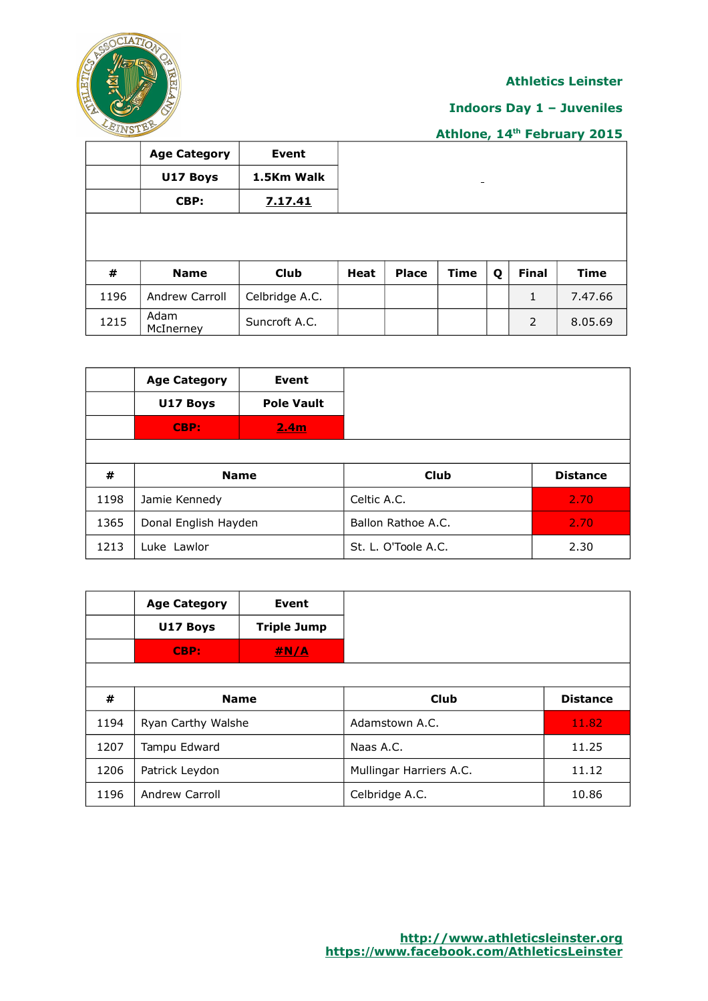

# **Indoors Day 1 – Juveniles**

|      | <b>Age Category</b> | Event          |             |              |             |   |              |             |
|------|---------------------|----------------|-------------|--------------|-------------|---|--------------|-------------|
|      | U17 Boys            | 1.5Km Walk     |             |              | -           |   |              |             |
|      | CBP:                | 7.17.41        |             |              |             |   |              |             |
|      |                     |                |             |              |             |   |              |             |
|      |                     |                |             |              |             |   |              |             |
| #    | <b>Name</b>         | <b>Club</b>    | <b>Heat</b> | <b>Place</b> | <b>Time</b> | Q | <b>Final</b> | <b>Time</b> |
| 1196 | Andrew Carroll      | Celbridge A.C. |             |              |             |   | $\mathbf{1}$ | 7.47.66     |
| 1215 | Adam<br>McInerney   | Suncroft A.C.  |             |              |             |   | 2            | 8.05.69     |

|      | <b>Age Category</b><br>U17 Boys<br>CBP: | Event<br><b>Pole Vault</b><br>2.4 <sub>m</sub> |                     |                 |
|------|-----------------------------------------|------------------------------------------------|---------------------|-----------------|
| #    | <b>Name</b>                             |                                                | <b>Club</b>         | <b>Distance</b> |
| 1198 | Jamie Kennedy                           |                                                | Celtic A.C.         | 2.70            |
| 1365 | Donal English Hayden                    |                                                | Ballon Rathoe A.C.  | 2.70            |
| 1213 | Luke Lawlor                             |                                                | St. L. O'Toole A.C. | 2.30            |

|      | <b>Age Category</b>   | Event              |                         |                 |
|------|-----------------------|--------------------|-------------------------|-----------------|
|      | U17 Boys              | <b>Triple Jump</b> |                         |                 |
|      | CBP:                  | <u>#N/A</u>        |                         |                 |
|      |                       |                    |                         |                 |
| #    | <b>Name</b>           |                    | Club                    | <b>Distance</b> |
| 1194 | Ryan Carthy Walshe    |                    | Adamstown A.C.          | 11.82           |
| 1207 | Tampu Edward          |                    | Naas A.C.               | 11.25           |
| 1206 | Patrick Leydon        |                    | Mullingar Harriers A.C. | 11.12           |
| 1196 | <b>Andrew Carroll</b> |                    | Celbridge A.C.          | 10.86           |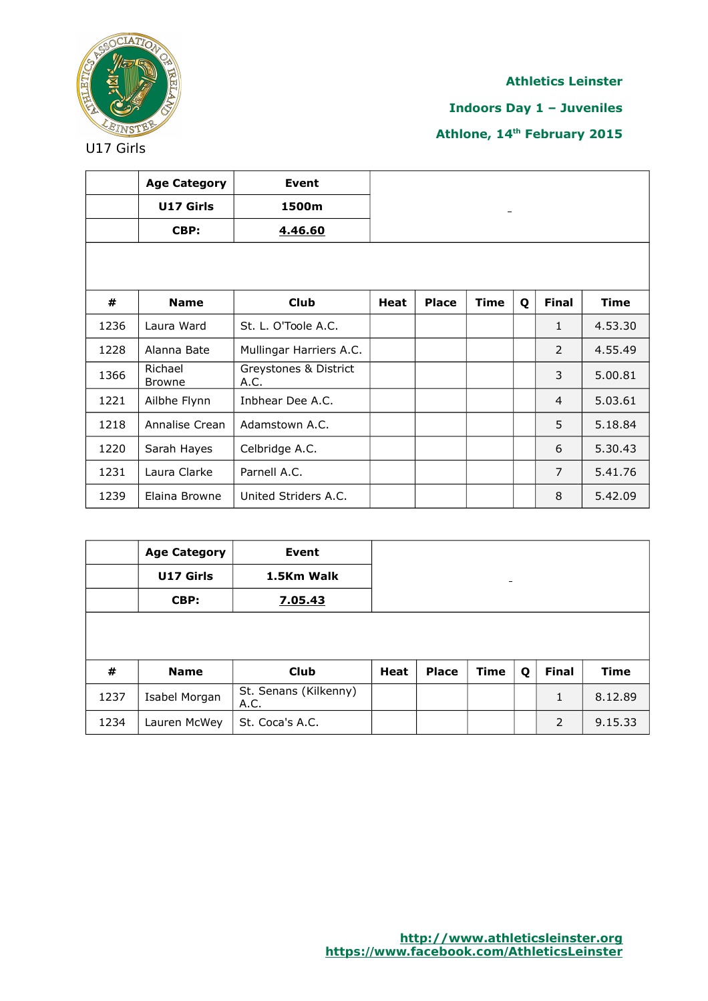

**Indoors Day 1 – Juveniles**

|      | <b>Age Category</b>      | Event                         |             |              |             |   |                |             |
|------|--------------------------|-------------------------------|-------------|--------------|-------------|---|----------------|-------------|
|      | U17 Girls                | 1500m                         |             |              |             |   |                |             |
|      | CBP:                     | 4.46.60                       |             |              |             |   |                |             |
|      |                          |                               |             |              |             |   |                |             |
|      |                          |                               |             |              |             |   |                |             |
| #    | <b>Name</b>              | <b>Club</b>                   | <b>Heat</b> | <b>Place</b> | <b>Time</b> | Q | <b>Final</b>   | <b>Time</b> |
| 1236 | Laura Ward               | St. L. O'Toole A.C.           |             |              |             |   | $\mathbf{1}$   | 4.53.30     |
| 1228 | Alanna Bate              | Mullingar Harriers A.C.       |             |              |             |   | 2              | 4.55.49     |
| 1366 | Richael<br><b>Browne</b> | Greystones & District<br>A.C. |             |              |             |   | 3              | 5.00.81     |
| 1221 | Ailbhe Flynn             | Inbhear Dee A.C.              |             |              |             |   | $\overline{4}$ | 5.03.61     |
| 1218 | Annalise Crean           | Adamstown A.C.                |             |              |             |   | 5              | 5.18.84     |
| 1220 | Sarah Hayes              | Celbridge A.C.                |             |              |             |   | 6              | 5.30.43     |
| 1231 | Laura Clarke             | Parnell A.C.                  |             |              |             |   | $\overline{7}$ | 5.41.76     |
| 1239 | Elaina Browne            | United Striders A.C.          |             |              |             |   | 8              | 5.42.09     |

|      | <b>Age Category</b> | Event                         |             |              |                          |   |              |             |
|------|---------------------|-------------------------------|-------------|--------------|--------------------------|---|--------------|-------------|
|      | U17 Girls           | 1.5Km Walk                    |             |              | $\overline{\phantom{a}}$ |   |              |             |
|      | CBP:                | 7.05.43                       |             |              |                          |   |              |             |
|      |                     |                               |             |              |                          |   |              |             |
|      |                     |                               |             |              |                          |   |              |             |
| #    | <b>Name</b>         | <b>Club</b>                   | <b>Heat</b> | <b>Place</b> | <b>Time</b>              | Q | <b>Final</b> | <b>Time</b> |
| 1237 | Isabel Morgan       | St. Senans (Kilkenny)<br>A.C. |             |              |                          |   | 1            | 8.12.89     |
| 1234 | Lauren McWey        | St. Coca's A.C.               |             |              |                          |   | 2            | 9.15.33     |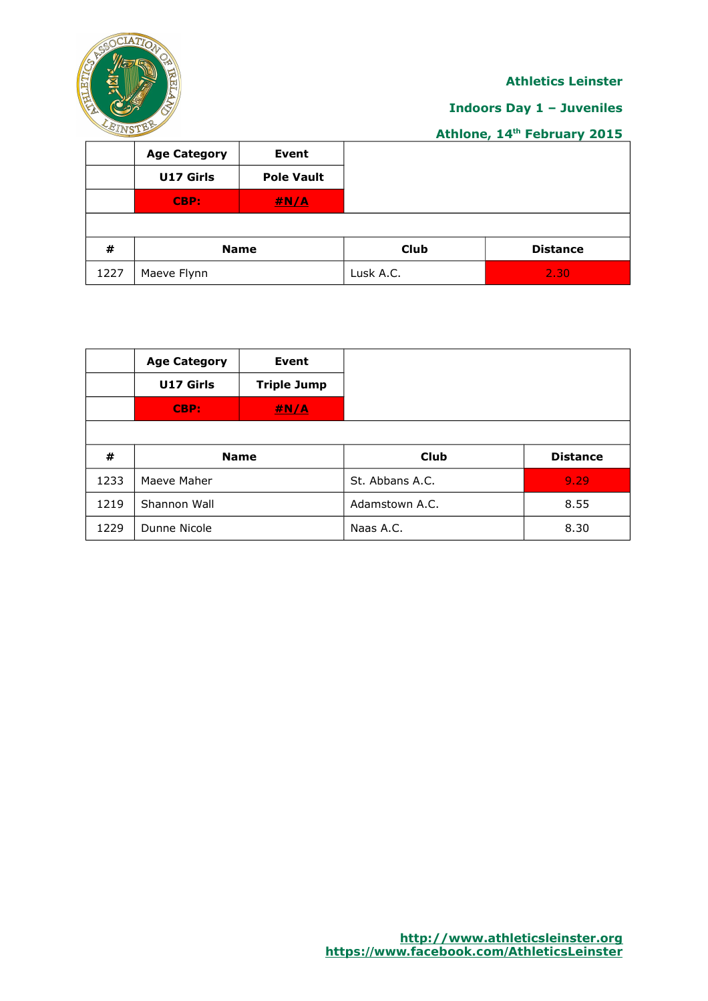

## **Indoors Day 1 – Juveniles**

|      | <b>Age Category</b> | Event             |           |                   |  |  |  |  |
|------|---------------------|-------------------|-----------|-------------------|--|--|--|--|
|      | U17 Girls           | <b>Pole Vault</b> |           |                   |  |  |  |  |
|      | CBP:                | H N/A             |           |                   |  |  |  |  |
|      |                     |                   |           |                   |  |  |  |  |
| #    | <b>Name</b>         |                   | Club      | <b>Distance</b>   |  |  |  |  |
| 1227 | Maeve Flynn         |                   | Lusk A.C. | 2.30 <sub>l</sub> |  |  |  |  |

|      | <b>Age Category</b> | Event              |                 |                 |
|------|---------------------|--------------------|-----------------|-----------------|
|      | U17 Girls           | <b>Triple Jump</b> |                 |                 |
|      | CBP:                | #N/A               |                 |                 |
|      |                     |                    |                 |                 |
| #    | <b>Name</b>         |                    | <b>Club</b>     | <b>Distance</b> |
| 1233 | Maeve Maher         |                    | St. Abbans A.C. | 9.29            |
| 1219 | Shannon Wall        |                    | Adamstown A.C.  | 8.55            |
| 1229 | Dunne Nicole        |                    | Naas A.C.       | 8.30            |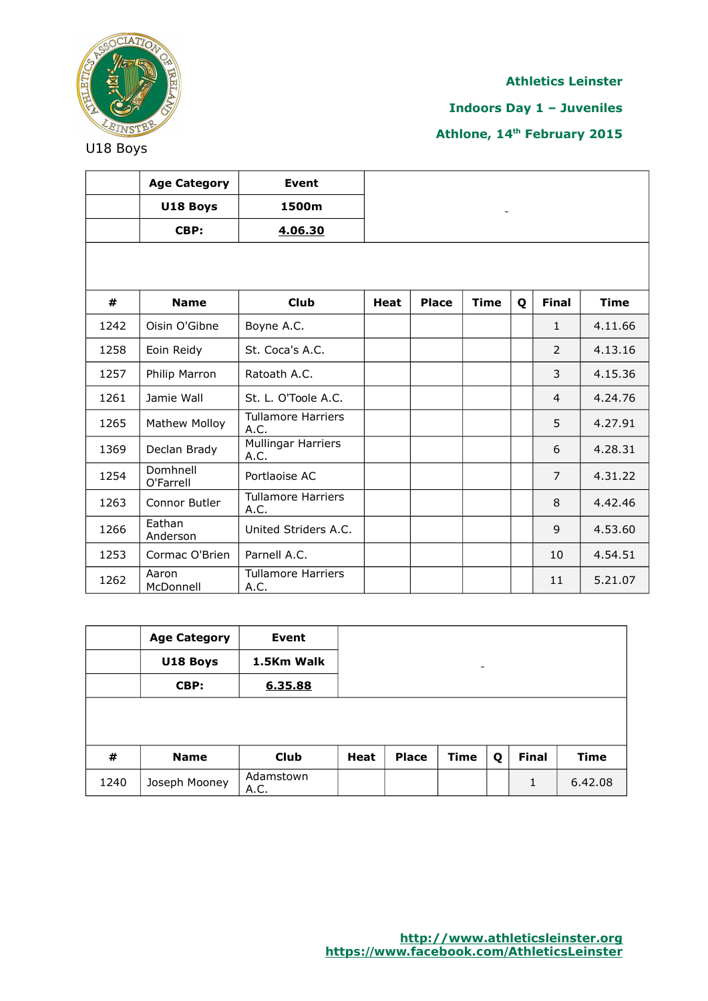

**Indoors Day 1 – Juveniles**

**Athlone, 14th February 2015**

**Age Category Event U18 Boys 1500m CBP: 4.06.30 # Name Club Heat Place Time Q Final Time** 1242 Oisin O'Gibne Boyne A.C. 1 1 4.11.66 1258 Eoin Reidy St. Coca's A.C. 2 4.13.16 1257 Philip Marron Ratoath A.C. | | | | | | | | | | 4.15.36 1261 Jamie Wall St. L. O'Toole A.C. | | | | 4 4.24.76 1265 | Mathew Molloy | Tullamore Harriers A.C.  $\begin{vmatrix} 1 & 1 & 1 \\ 1 & 1 & 1 \\ 1 & 1 & 1 \end{vmatrix}$  =  $\begin{vmatrix} 1 & 1 & 1 \\ 1 & 1 & 1 \\ 1 & 1 & 1 \end{vmatrix}$  =  $\begin{vmatrix} 5 & 4.27.91 \\ 1 & 1 & 1 \end{vmatrix}$ 1369 | Declan Brady | Mullingar Harriers A.C.  $\begin{vmatrix} 1 & 0 & 0 \\ 0 & 1 & 0 \\ 0 & 0 & 0 \end{vmatrix}$  (and 4.28.31  $1254$  Domhnell<br>O'Farrell O'Farrell Portlaoise AC <sup>7</sup> 4.31.22 1263 Connor Butler  $\begin{array}{|c|c|c|}\n\hline\n\text{Tullamore Harris} \text{$ A.C.  $\begin{vmatrix} 1 & 0 & 0 \\ 0 & 0 & 0 \\ 0 & 0 & 0 \end{vmatrix}$  and  $\begin{vmatrix} 8 & 4.42.46 \\ 0 & 0 & 0 \\ 0 & 0 & 0 \end{vmatrix}$ 1266  $\Big|$  Eathan<br>Anderson United Striders A.C.  $\begin{vmatrix} 1 & 1 & 1 \\ 1 & 1 & 1 \end{vmatrix}$  9 4.53.60 1253 Cormac O'Brien Parnell A.C. 10 | 10 4.54.51 1262 Aaron McDonnell Tullamore Harriers A.C.  $\left| \begin{array}{ccc} 11 & 5.21.07 \\ 1 \end{array} \right|$ 

|      | <b>Age Category</b> | Event             |             |              |                          |   |              |             |
|------|---------------------|-------------------|-------------|--------------|--------------------------|---|--------------|-------------|
|      | U18 Boys            | 1.5Km Walk        |             |              | $\overline{\phantom{a}}$ |   |              |             |
|      | CBP:                | 6.35.88           |             |              |                          |   |              |             |
|      |                     |                   |             |              |                          |   |              |             |
|      |                     |                   |             |              |                          |   |              |             |
| #    | <b>Name</b>         | Club              | <b>Heat</b> | <b>Place</b> | Time                     | Q | <b>Final</b> | <b>Time</b> |
| 1240 | Joseph Mooney       | Adamstown<br>A.C. |             |              |                          |   | 1            | 6.42.08     |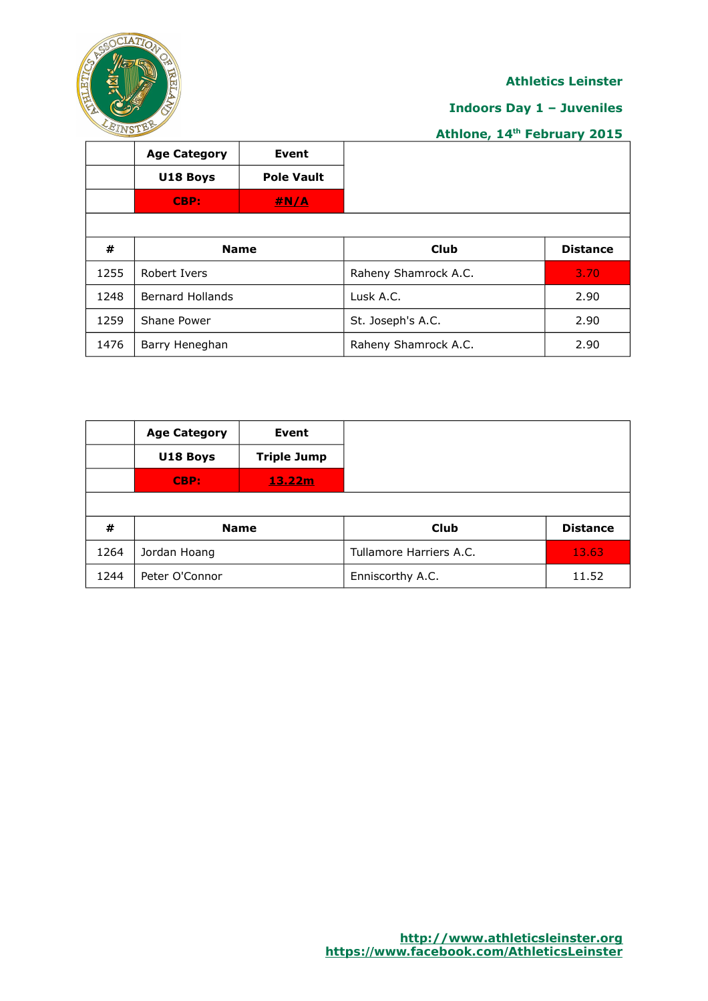

## **Indoors Day 1 – Juveniles**

|      | <b>Age Category</b>     | Event             |                      |                 |
|------|-------------------------|-------------------|----------------------|-----------------|
|      | U18 Boys                | <b>Pole Vault</b> |                      |                 |
|      | CBP:                    | <u>#N/A</u>       |                      |                 |
|      |                         |                   |                      |                 |
| #    | <b>Name</b>             |                   | Club                 | <b>Distance</b> |
| 1255 | Robert Ivers            |                   | Raheny Shamrock A.C. | 3.70            |
| 1248 | <b>Bernard Hollands</b> |                   | Lusk A.C.            | 2.90            |
| 1259 | Shane Power             |                   | St. Joseph's A.C.    | 2.90            |
| 1476 | Barry Heneghan          |                   | Raheny Shamrock A.C. | 2.90            |

|      | <b>Age Category</b> | Event              |                         |                 |
|------|---------------------|--------------------|-------------------------|-----------------|
|      | U18 Boys            | <b>Triple Jump</b> |                         |                 |
|      | CBP:                | 13.22m             |                         |                 |
|      |                     |                    |                         |                 |
| #    |                     | <b>Name</b>        | <b>Club</b>             | <b>Distance</b> |
| 1264 | Jordan Hoang        |                    | Tullamore Harriers A.C. | 13.63           |
| 1244 | Peter O'Connor      |                    | Enniscorthy A.C.        | 11.52           |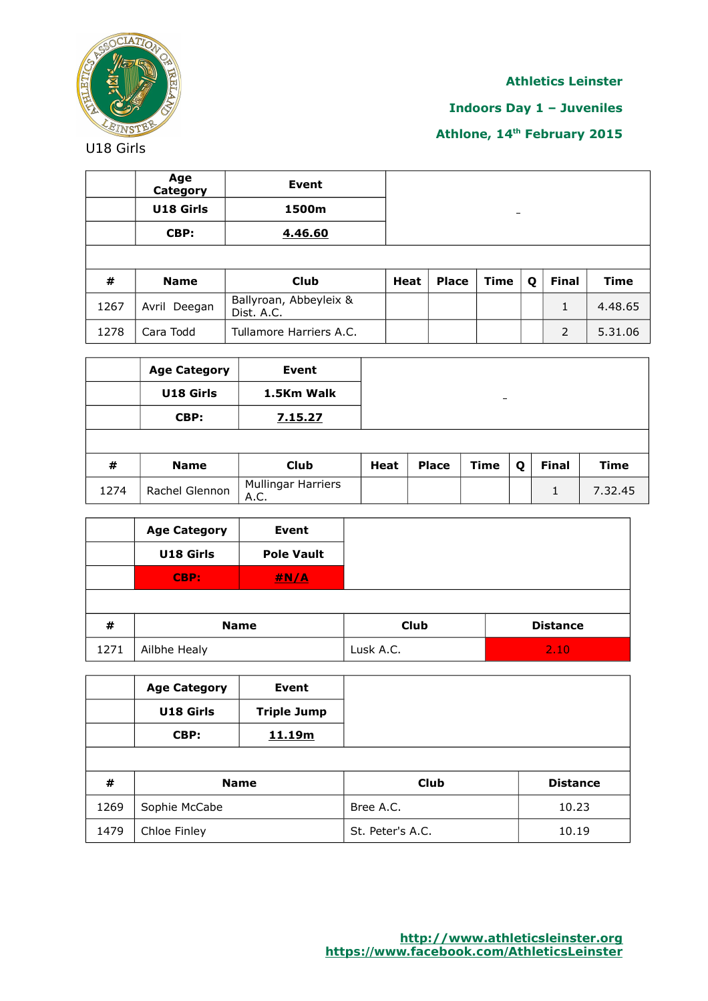

# **Indoors Day 1 – Juveniles**

# **Athlone, 14th February 2015**

U18 Girls

|      | Age<br>Category | Event                                |             |              |             |   |              |             |
|------|-----------------|--------------------------------------|-------------|--------------|-------------|---|--------------|-------------|
|      | U18 Girls       | 1500m                                |             |              | -           |   |              |             |
|      | CBP:            | 4.46.60                              |             |              |             |   |              |             |
|      |                 |                                      |             |              |             |   |              |             |
| #    | <b>Name</b>     | <b>Club</b>                          | <b>Heat</b> | <b>Place</b> | <b>Time</b> | Q | <b>Final</b> | <b>Time</b> |
| 1267 | Avril Deegan    | Ballyroan, Abbeyleix &<br>Dist. A.C. |             |              |             |   | $\mathbf{1}$ | 4.48.65     |
| 1278 | Cara Todd       | Tullamore Harriers A.C.              |             |              |             |   | 2            | 5.31.06     |

|      | <b>Age Category</b> | Event                             |             |              |                          |   |              |             |
|------|---------------------|-----------------------------------|-------------|--------------|--------------------------|---|--------------|-------------|
|      | U18 Girls           | 1.5Km Walk                        |             |              | $\overline{\phantom{0}}$ |   |              |             |
|      | CBP:                | 7.15.27                           |             |              |                          |   |              |             |
|      |                     |                                   |             |              |                          |   |              |             |
| #    | <b>Name</b>         | <b>Club</b>                       | <b>Heat</b> | <b>Place</b> | <b>Time</b>              | Q | <b>Final</b> | <b>Time</b> |
| 1274 | Rachel Glennon      | <b>Mullingar Harriers</b><br>A.C. |             |              |                          |   |              | 7.32.45     |

|      | <b>Age Category</b> | <b>Event</b>      |             |                 |
|------|---------------------|-------------------|-------------|-----------------|
|      | U18 Girls           | <b>Pole Vault</b> |             |                 |
|      | CBP:                | #N/A              |             |                 |
|      |                     |                   |             |                 |
| #    | <b>Name</b>         |                   | <b>Club</b> | <b>Distance</b> |
| 1271 | Ailbhe Healy        |                   | Lusk A.C.   | 2.10            |

|      | <b>Age Category</b><br>U18 Girls<br>CBP: | Event<br><b>Triple Jump</b><br>11.19m |                  |                 |
|------|------------------------------------------|---------------------------------------|------------------|-----------------|
| #    | <b>Name</b>                              |                                       | <b>Club</b>      | <b>Distance</b> |
| 1269 | Sophie McCabe                            |                                       | Bree A.C.        | 10.23           |
| 1479 | Chloe Finley                             |                                       | St. Peter's A.C. | 10.19           |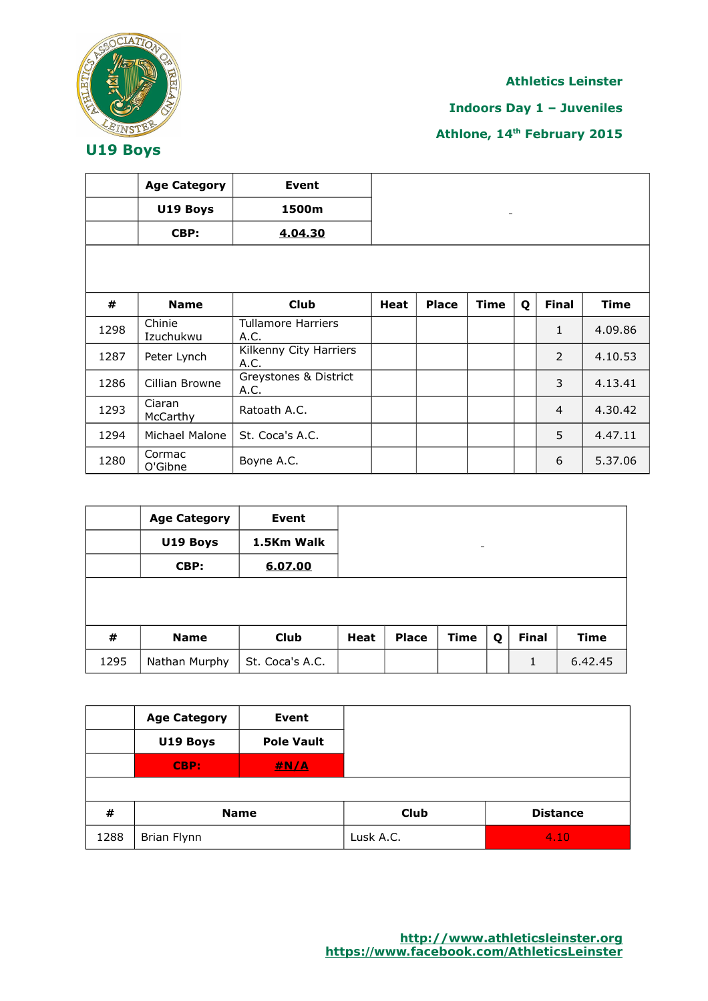

**Indoors Day 1 – Juveniles**

|      | <b>Age Category</b> | Event                             |             |              |             |   |                          |             |
|------|---------------------|-----------------------------------|-------------|--------------|-------------|---|--------------------------|-------------|
|      | U19 Boys            | 1500m                             |             |              |             |   |                          |             |
|      | CBP:                | 4.04.30                           |             |              |             |   |                          |             |
|      |                     |                                   |             |              |             |   |                          |             |
|      |                     |                                   |             |              |             |   |                          |             |
| #    | <b>Name</b>         | <b>Club</b>                       | <b>Heat</b> | <b>Place</b> | <b>Time</b> | Q | <b>Final</b>             | <b>Time</b> |
| 1298 | Chinie<br>Izuchukwu | <b>Tullamore Harriers</b><br>A.C. |             |              |             |   | $\mathbf{1}$             | 4.09.86     |
| 1287 | Peter Lynch         | Kilkenny City Harriers<br>A.C.    |             |              |             |   | $\overline{\phantom{a}}$ | 4.10.53     |
| 1286 | Cillian Browne      | Greystones & District<br>A.C.     |             |              |             |   | 3                        | 4.13.41     |
| 1293 | Ciaran<br>McCarthy  | Ratoath A.C.                      |             |              |             |   | 4                        | 4.30.42     |
| 1294 | Michael Malone      | St. Coca's A.C.                   |             |              |             |   | 5                        | 4.47.11     |
| 1280 | Cormac<br>O'Gibne   | Boyne A.C.                        |             |              |             |   | 6                        | 5.37.06     |

|      | <b>Age Category</b> | Event           |      |              |                          |   |              |             |
|------|---------------------|-----------------|------|--------------|--------------------------|---|--------------|-------------|
|      | U19 Boys            | 1.5Km Walk      |      |              | $\overline{\phantom{0}}$ |   |              |             |
|      | CBP:                | 6.07.00         |      |              |                          |   |              |             |
|      |                     |                 |      |              |                          |   |              |             |
|      |                     |                 |      |              |                          |   |              |             |
| #    | <b>Name</b>         | <b>Club</b>     | Heat | <b>Place</b> | <b>Time</b>              | Q | <b>Final</b> | <b>Time</b> |
| 1295 | Nathan Murphy       | St. Coca's A.C. |      |              |                          |   | 1            | 6.42.45     |

|      | <b>Age Category</b> | <b>Event</b>      |             |                 |
|------|---------------------|-------------------|-------------|-----------------|
|      | U19 Boys            | <b>Pole Vault</b> |             |                 |
|      | CBP:                | #N/A              |             |                 |
|      |                     |                   |             |                 |
| #    | <b>Name</b>         |                   | <b>Club</b> | <b>Distance</b> |
| 1288 | Brian Flynn         |                   | Lusk A.C.   | 4.10            |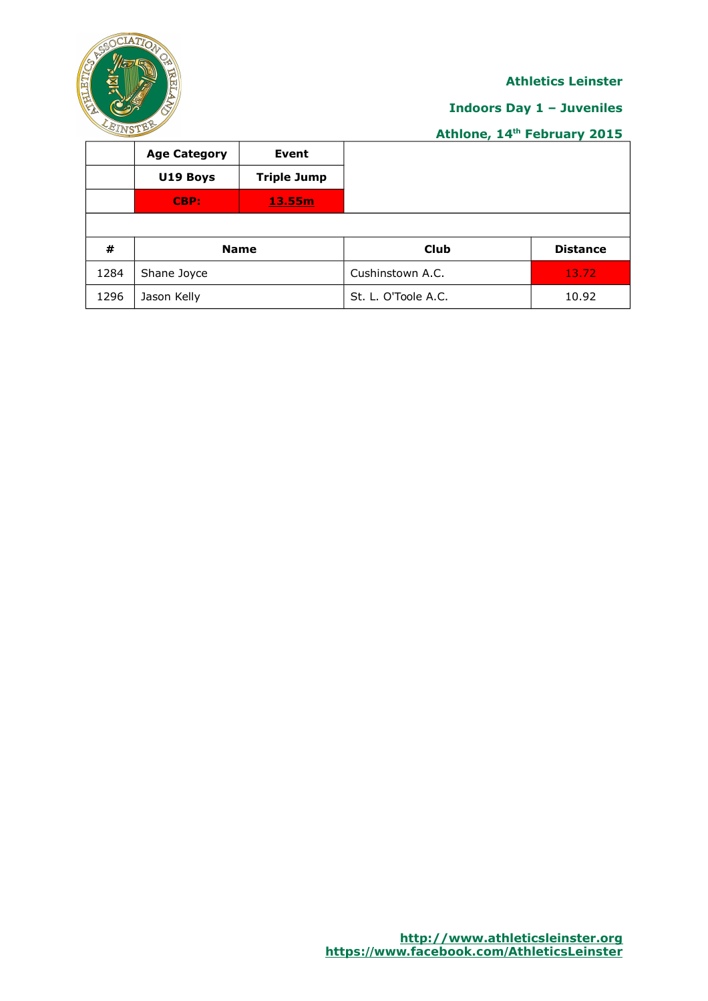

# **Indoors Day 1 – Juveniles**

|      | <b>Age Category</b> | Event              |                     |                 |
|------|---------------------|--------------------|---------------------|-----------------|
|      | U19 Boys            | <b>Triple Jump</b> |                     |                 |
|      | CBP:                | 13.55m             |                     |                 |
|      |                     |                    |                     |                 |
| #    | <b>Name</b>         |                    | <b>Club</b>         | <b>Distance</b> |
| 1284 | Shane Joyce         |                    | Cushinstown A.C.    | 13.72           |
| 1296 | Jason Kelly         |                    | St. L. O'Toole A.C. | 10.92           |